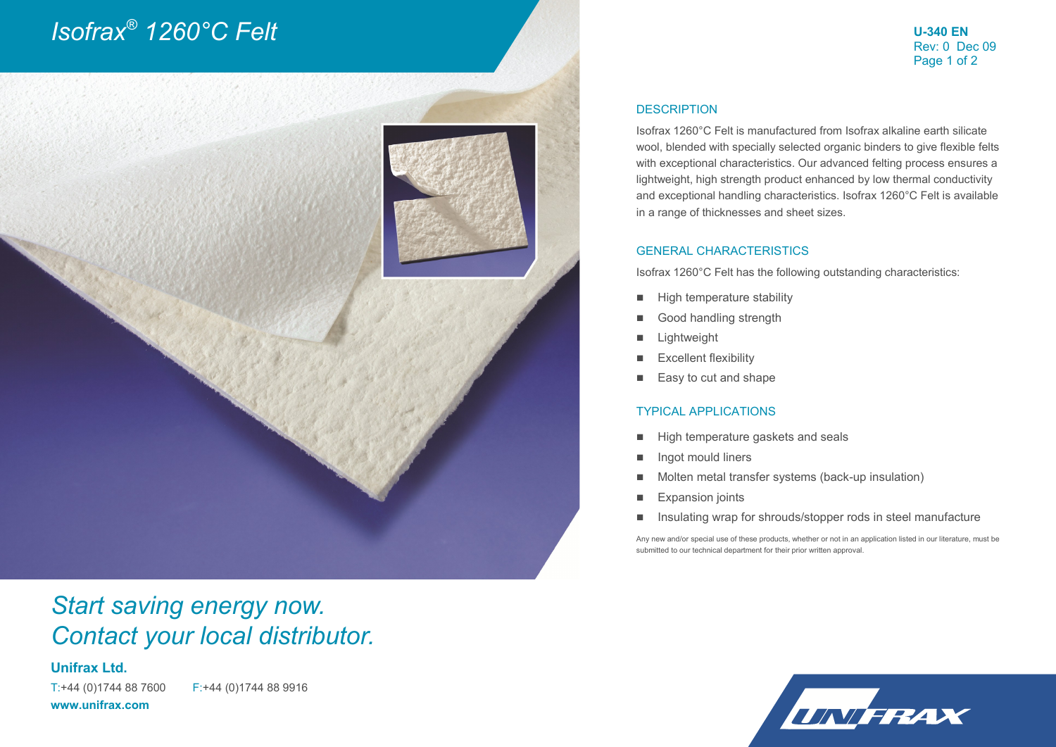# *Isofrax® 1260°C Felt*

**U-340 EN** Rev: 0 Dec 09 Page 1 of 2



### *Start saving energy now. Contact your local distributor.*

### **Unifrax Ltd.**

T:+44 (0)1744 88 7600 F:+44 (0)1744 88 9916 **www.unifrax.com**

#### **DESCRIPTION**

Isofrax 1260°C Felt is manufactured from Isofrax alkaline earth silicate wool, blended with specially selected organic binders to give flexible felts with exceptional characteristics. Our advanced felting process ensures a lightweight, high strength product enhanced by low thermal conductivity and exceptional handling characteristics. Isofrax 1260°C Felt is available in a range of thicknesses and sheet sizes.

#### GENERAL CHARACTERISTICS

Isofrax 1260°C Felt has the following outstanding characteristics:

- **High temperature stability**
- Good handling strength
- **Lightweight**
- **Excellent flexibility**
- Easy to cut and shape

#### TYPICAL APPLICATIONS

- High temperature gaskets and seals
- Ingot mould liners
- Molten metal transfer systems (back-up insulation)
- **Expansion joints**
- Insulating wrap for shrouds/stopper rods in steel manufacture

Any new and/or special use of these products, whether or not in an application listed in our literature, must be submitted to our technical department for their prior written approval.